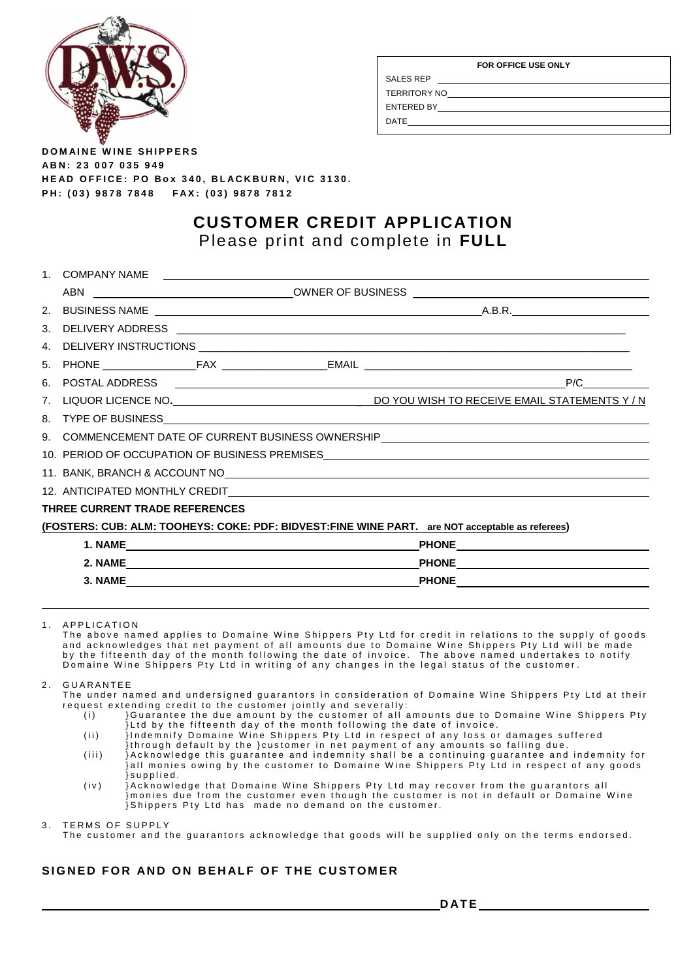

| FOR OFFICE USE ONLY |  |  |  |  |  |  |
|---------------------|--|--|--|--|--|--|
| <b>SALES REP</b>    |  |  |  |  |  |  |
| <b>TERRITORY NO</b> |  |  |  |  |  |  |
| ENTERED BY          |  |  |  |  |  |  |
| DATE                |  |  |  |  |  |  |

**DOMAINE WINE SHIPPERS A B N : 2 3 0 0 7 0 3 5 9 4 9 H E A D O F F I C E : P O B o x 340 , B L A C K B U R N , V I C 3 1 3 0 . P H : ( 0 3 ) 9 8 7 8 7 8 4 8 F A X : ( 0 3 ) 9 8 7 8 7 8 1 2**

## **CUSTOMER CREDIT APPLICATION** Please print and complete in **FULL**

| $1_{-}$                                                                          | <b>COMPANY NAME</b>                                                                                         |  | <u> 1989 - John Stein, Amerikaansk politiker (</u> |  |                           |  |  |  |
|----------------------------------------------------------------------------------|-------------------------------------------------------------------------------------------------------------|--|----------------------------------------------------|--|---------------------------|--|--|--|
|                                                                                  |                                                                                                             |  |                                                    |  |                           |  |  |  |
| 2.                                                                               |                                                                                                             |  |                                                    |  |                           |  |  |  |
| 3.                                                                               |                                                                                                             |  |                                                    |  |                           |  |  |  |
| 4.                                                                               |                                                                                                             |  |                                                    |  |                           |  |  |  |
| 5.                                                                               |                                                                                                             |  |                                                    |  |                           |  |  |  |
| 6.                                                                               |                                                                                                             |  |                                                    |  | P/C                       |  |  |  |
| 7.                                                                               |                                                                                                             |  |                                                    |  |                           |  |  |  |
|                                                                                  |                                                                                                             |  |                                                    |  |                           |  |  |  |
|                                                                                  | 9. COMMENCEMENT DATE OF CURRENT BUSINESS OWNERSHIP NATIONAL COMMENCEMENT DATE OF CURRENT BUSINESS OWNERSHIP |  |                                                    |  |                           |  |  |  |
|                                                                                  |                                                                                                             |  |                                                    |  |                           |  |  |  |
| 11. BANK, BRANCH & ACCOUNT NO <b>CONSECTED AND RELATED AT A RELATION CONTROL</b> |                                                                                                             |  |                                                    |  |                           |  |  |  |
|                                                                                  |                                                                                                             |  |                                                    |  |                           |  |  |  |
|                                                                                  | THREE CURRENT TRADE REFERENCES                                                                              |  |                                                    |  |                           |  |  |  |
|                                                                                  | (FOSTERS: CUB: ALM: TOOHEYS: COKE: PDF: BIDVEST:FINE WINE PART. are NOT acceptable as referees)             |  |                                                    |  |                           |  |  |  |
|                                                                                  |                                                                                                             |  |                                                    |  |                           |  |  |  |
|                                                                                  |                                                                                                             |  |                                                    |  | PHONE <b>Example 2018</b> |  |  |  |
|                                                                                  |                                                                                                             |  |                                                    |  | PHONE PHONE               |  |  |  |

1 A P P LICATION

The above named applies to Domaine Wine Shippers Pty Ltd for credit in relations to the supply of goods and acknowledges that net payment of all amounts due to Domaine Wine Shippers Pty Ltd will be made by the fifteenth day of the month following the date of invoice. The above named undertakes to notify Domaine Wine Shippers Pty Ltd in writing of any changes in the legal status of the customer.

2. GUARANTEE

The under named and undersigned guarantors in consideration of Domaine Wine Shippers Pty Ltd at their request extending credit to the customer jointly and severally:

- (i) }Guarantee the due amount by the customer of all amounts due to Domaine Wine Shippers Pty } Ltd by the fifteenth day of the month following the date of invoice.
- (ii) } Indemnify Domaine Wine Shippers Pty Ltd in respect of any loss or damages suffered {through default by the } customer in net payment of any amounts so falling due.
- (iii) }Acknowledge this guarantee and indemnity shall be a continuing guarantee and indemnity for }all monies owing by the customer to Domaine Wine Shippers Pty Ltd in respect of any goods } s u p p l i e d .
- $(iv)$  is a interpretent of the twine of the Shippers Pty Ltd may recover from the guarantors all } monies due from the customer even though the customer is not in default or Domaine Wine Shippers Pty Ltd has made no demand on the customer.

3. TERMS OF SUPPLY

The customer and the quarantors acknowledge that goods will be supplied only on the terms endorsed.

## **SIGNED FOR AND ON BEHALF OF THE CUSTOMER**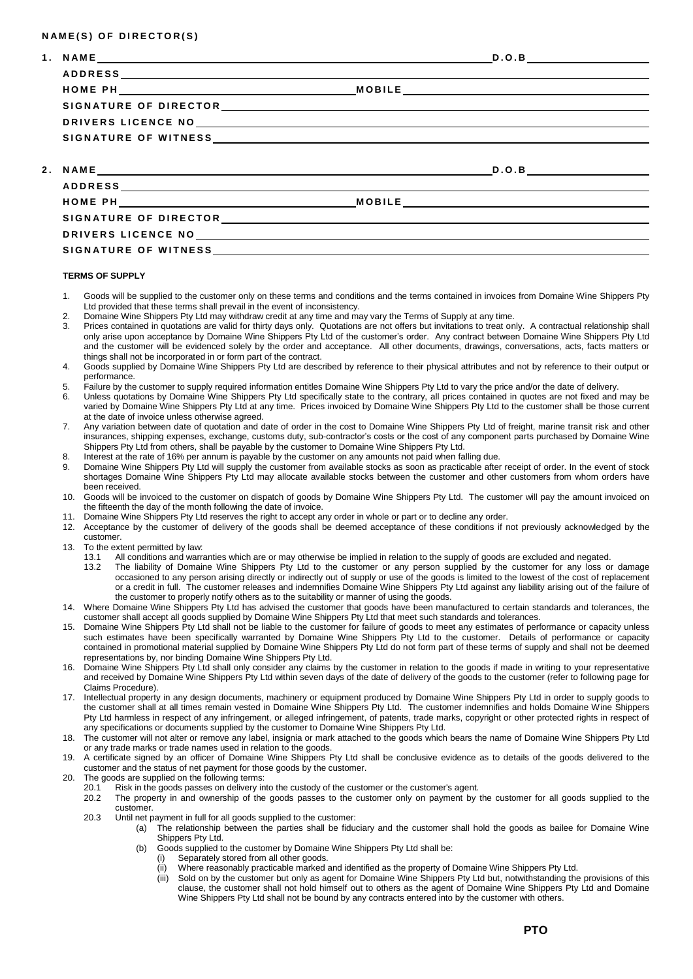### **N A M E ( S ) O F D I R E C T O R ( S )**

| SIGNATURE OF WITNESS |  |  |
|----------------------|--|--|

### **TERMS OF SUPPLY**

- 1. Goods will be supplied to the customer only on these terms and conditions and the terms contained in invoices from Domaine Wine Shippers Pty Ltd provided that these terms shall prevail in the event of inconsistency.
- 2. Domaine Wine Shippers Pty Ltd may withdraw credit at any time and may vary the Terms of Supply at any time.
- Prices contained in quotations are valid for thirty days only. Quotations are not offers but invitations to treat only. A contractual relationship shall only arise upon acceptance by Domaine Wine Shippers Pty Ltd of the customer's order. Any contract between Domaine Wine Shippers Pty Ltd and the customer will be evidenced solely by the order and acceptance. All other documents, drawings, conversations, acts, facts matters or things shall not be incorporated in or form part of the contract.
- 4. Goods supplied by Domaine Wine Shippers Pty Ltd are described by reference to their physical attributes and not by reference to their output or performance.
- 5. Failure by the customer to supply required information entitles Domaine Wine Shippers Pty Ltd to vary the price and/or the date of delivery.
- 6. Unless quotations by Domaine Wine Shippers Pty Ltd specifically state to the contrary, all prices contained in quotes are not fixed and may be varied by Domaine Wine Shippers Pty Ltd at any time. Prices invoiced by Domaine Wine Shippers Pty Ltd to the customer shall be those current at the date of invoice unless otherwise agreed.
- 7. Any variation between date of quotation and date of order in the cost to Domaine Wine Shippers Pty Ltd of freight, marine transit risk and other insurances, shipping expenses, exchange, customs duty, sub-contractor's costs or the cost of any component parts purchased by Domaine Wine Shippers Pty Ltd from others, shall be payable by the customer to Domaine Wine Shippers Pty Ltd.
- 8. Interest at the rate of 16% per annum is payable by the customer on any amounts not paid when falling due.
- 9. Domaine Wine Shippers Pty Ltd will supply the customer from available stocks as soon as practicable after receipt of order. In the event of stock shortages Domaine Wine Shippers Pty Ltd may allocate available stocks between the customer and other customers from whom orders have been received.
- 10. Goods will be invoiced to the customer on dispatch of goods by Domaine Wine Shippers Pty Ltd. The customer will pay the amount invoiced on the fifteenth the day of the month following the date of invoice.
- 11. Domaine Wine Shippers Pty Ltd reserves the right to accept any order in whole or part or to decline any order.
- 12. Acceptance by the customer of delivery of the goods shall be deemed acceptance of these conditions if not previously acknowledged by the customer.
- 13. To the extent permitted by law:
	- 13.1 All conditions and warranties which are or may otherwise be implied in relation to the supply of goods are excluded and negated.
	- 13.2 The liability of Domaine Wine Shippers Pty Ltd to the customer or any person supplied by the customer for any loss or damage occasioned to any person arising directly or indirectly out of supply or use of the goods is limited to the lowest of the cost of replacement or a credit in full. The customer releases and indemnifies Domaine Wine Shippers Pty Ltd against any liability arising out of the failure of the customer to properly notify others as to the suitability or manner of using the goods.
- 14. Where Domaine Wine Shippers Pty Ltd has advised the customer that goods have been manufactured to certain standards and tolerances, the customer shall accept all goods supplied by Domaine Wine Shippers Pty Ltd that meet such standards and tolerances.
- 15. Domaine Wine Shippers Pty Ltd shall not be liable to the customer for failure of goods to meet any estimates of performance or capacity unless such estimates have been specifically warranted by Domaine Wine Shippers Pty Ltd to the customer. Details of performance or capacity contained in promotional material supplied by Domaine Wine Shippers Pty Ltd do not form part of these terms of supply and shall not be deemed representations by, nor binding Domaine Wine Shippers Pty Ltd.
- 16. Domaine Wine Shippers Pty Ltd shall only consider any claims by the customer in relation to the goods if made in writing to your representative and received by Domaine Wine Shippers Pty Ltd within seven days of the date of delivery of the goods to the customer (refer to following page for Claims Procedure).
- 17. Intellectual property in any design documents, machinery or equipment produced by Domaine Wine Shippers Pty Ltd in order to supply goods to the customer shall at all times remain vested in Domaine Wine Shippers Pty Ltd. The customer indemnifies and holds Domaine Wine Shippers Pty Ltd harmless in respect of any infringement, or alleged infringement, of patents, trade marks, copyright or other protected rights in respect of any specifications or documents supplied by the customer to Domaine Wine Shippers Pty Ltd.
- 18. The customer will not alter or remove any label, insignia or mark attached to the goods which bears the name of Domaine Wine Shippers Pty Ltd or any trade marks or trade names used in relation to the goods.
- 19. A certificate signed by an officer of Domaine Wine Shippers Pty Ltd shall be conclusive evidence as to details of the goods delivered to the customer and the status of net payment for those goods by the customer.
- 20. The goods are supplied on the following terms:
	- 20.1 Risk in the goods passes on delivery into the custody of the customer or the customer's agent.
	- 20.2 The property in and ownership of the goods passes to the customer only on payment by the customer for all goods supplied to the customer.
	- 20.3 Until net payment in full for all goods supplied to the customer:
		- (a) The relationship between the parties shall be fiduciary and the customer shall hold the goods as bailee for Domaine Wine Shippers Pty Ltd.
			- (b) Goods supplied to the customer by Domaine Wine Shippers Pty Ltd shall be:
				- (i) Separately stored from all other goods.
				- (ii) Where reasonably practicable marked and identified as the property of Domaine Wine Shippers Pty Ltd.
				- (iii) Sold on by the customer but only as agent for Domaine Wine Shippers Pty Ltd but, notwithstanding the provisions of this clause, the customer shall not hold himself out to others as the agent of Domaine Wine Shippers Pty Ltd and Domaine Wine Shippers Pty Ltd shall not be bound by any contracts entered into by the customer with others.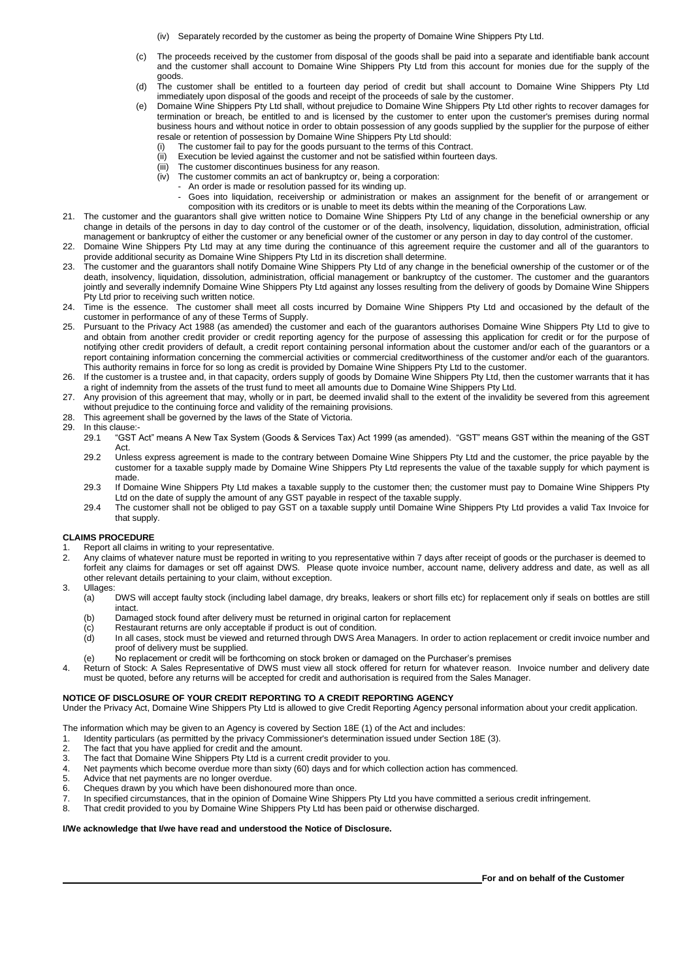- (iv) Separately recorded by the customer as being the property of Domaine Wine Shippers Pty Ltd.
- (c) The proceeds received by the customer from disposal of the goods shall be paid into a separate and identifiable bank account and the customer shall account to Domaine Wine Shippers Pty Ltd from this account for monies due for the supply of the goods.
- (d) The customer shall be entitled to a fourteen day period of credit but shall account to Domaine Wine Shippers Pty Ltd immediately upon disposal of the goods and receipt of the proceeds of sale by the customer.
- (e) Domaine Wine Shippers Pty Ltd shall, without prejudice to Domaine Wine Shippers Pty Ltd other rights to recover damages for termination or breach, be entitled to and is licensed by the customer to enter upon the customer's premises during normal business hours and without notice in order to obtain possession of any goods supplied by the supplier for the purpose of either resale or retention of possession by Domaine Wine Shippers Pty Ltd should:
	- The customer fail to pay for the goods pursuant to the terms of this Contract.
	- (ii) Execution be levied against the customer and not be satisfied within fourteen days.
	- (iii) The customer discontinues business for any reason.
	- (iv) The customer commits an act of bankruptcy or, being a corporation:
		- An order is made or resolution passed for its winding up.
	- Goes into liquidation, receivership or administration or makes an assignment for the benefit of or arrangement or composition with its creditors or is unable to meet its debts within the meaning of the Corporations Law.
- 21. The customer and the guarantors shall give written notice to Domaine Wine Shippers Pty Ltd of any change in the beneficial ownership or any change in details of the persons in day to day control of the customer or of the death, insolvency, liquidation, dissolution, administration, official management or bankruptcy of either the customer or any beneficial owner of the customer or any person in day to day control of the customer.
- 22. Domaine Wine Shippers Pty Ltd may at any time during the continuance of this agreement require the customer and all of the guarantors to provide additional security as Domaine Wine Shippers Pty Ltd in its discretion shall determine.
- 23. The customer and the guarantors shall notify Domaine Wine Shippers Pty Ltd of any change in the beneficial ownership of the customer or of the death, insolvency, liquidation, dissolution, administration, official management or bankruptcy of the customer. The customer and the guarantors jointly and severally indemnify Domaine Wine Shippers Pty Ltd against any losses resulting from the delivery of goods by Domaine Wine Shippers Pty Ltd prior to receiving such written notice.
- 24. Time is the essence. The customer shall meet all costs incurred by Domaine Wine Shippers Pty Ltd and occasioned by the default of the customer in performance of any of these Terms of Supply.
- 25. Pursuant to the Privacy Act 1988 (as amended) the customer and each of the guarantors authorises Domaine Wine Shippers Pty Ltd to give to and obtain from another credit provider or credit reporting agency for the purpose of assessing this application for credit or for the purpose of notifying other credit providers of default, a credit report containing personal information about the customer and/or each of the guarantors or a report containing information concerning the commercial activities or commercial creditworthiness of the customer and/or each of the guarantors. This authority remains in force for so long as credit is provided by Domaine Wine Shippers Pty Ltd to the customer.
- 26. If the customer is a trustee and, in that capacity, orders supply of goods by Domaine Wine Shippers Pty Ltd, then the customer warrants that it has a right of indemnity from the assets of the trust fund to meet all amounts due to Domaine Wine Shippers Pty Ltd.
- 27. Any provision of this agreement that may, wholly or in part, be deemed invalid shall to the extent of the invalidity be severed from this agreement without prejudice to the continuing force and validity of the remaining provisions.
- 28. This agreement shall be governed by the laws of the State of Victoria.<br>29. In this clause:-
- In this clause:<br>29.1 "GST
	- 29.1 "GST Act" means A New Tax System (Goods & Services Tax) Act 1999 (as amended). "GST" means GST within the meaning of the GST Act.
	- 29.2 Unless express agreement is made to the contrary between Domaine Wine Shippers Pty Ltd and the customer, the price payable by the customer for a taxable supply made by Domaine Wine Shippers Pty Ltd represents the value of the taxable supply for which payment is made.
	- 29.3 If Domaine Wine Shippers Pty Ltd makes a taxable supply to the customer then; the customer must pay to Domaine Wine Shippers Pty Ltd on the date of supply the amount of any GST payable in respect of the taxable supply.
	- 29.4 The customer shall not be obliged to pay GST on a taxable supply until Domaine Wine Shippers Pty Ltd provides a valid Tax Invoice for that supply.

### **CLAIMS PROCEDURE**

- 1. Report all claims in writing to your representative.<br>2. Any claims of whatever nature must be reported in
- Any claims of whatever nature must be reported in writing to you representative within 7 days after receipt of goods or the purchaser is deemed to forfeit any claims for damages or set off against DWS. Please quote invoice number, account name, delivery address and date, as well as all other relevant details pertaining to your claim, without exception.
- 3. Ullages:
	- (a) DWS will accept faulty stock (including label damage, dry breaks, leakers or short fills etc) for replacement only if seals on bottles are still intact.
	- (b) Damaged stock found after delivery must be returned in original carton for replacement
	- (c) Restaurant returns are only acceptable if product is out of condition.
	- (d) In all cases, stock must be viewed and returned through DWS Area Managers. In order to action replacement or credit invoice number and proof of delivery must be supplied.
	- (e) No replacement or credit will be forthcoming on stock broken or damaged on the Purchaser's premises
- 4. Return of Stock: A Sales Representative of DWS must view all stock offered for return for whatever reason. Invoice number and delivery date must be quoted, before any returns will be accepted for credit and authorisation is required from the Sales Manager.

### **NOTICE OF DISCLOSURE OF YOUR CREDIT REPORTING TO A CREDIT REPORTING AGENCY**

Under the Privacy Act, Domaine Wine Shippers Pty Ltd is allowed to give Credit Reporting Agency personal information about your credit application.

- The information which may be given to an Agency is covered by Section 18E (1) of the Act and includes:
- 1. Identity particulars (as permitted by the privacy Commissioner's determination issued under Section 18E (3).<br>2. The fact that you have applied for credit and the amount
- The fact that you have applied for credit and the amount.
- 3. The fact that Domaine Wine Shippers Pty Ltd is a current credit provider to you.
- 4. Net payments which become overdue more than sixty (60) days and for which collection action has commenced.
- 5. Advice that net payments are no longer overdue.
- 6. Cheques drawn by you which have been dishonoured more than once.
- 7. In specified circumstances, that in the opinion of Domaine Wine Shippers Pty Ltd you have committed a serious credit infringement.<br>8. That credit provided to you by Domaine Wine Shippers Pty Ltd has been paid or otherwi
- That credit provided to you by Domaine Wine Shippers Pty Ltd has been paid or otherwise discharged.

### **I/We acknowledge that I/we have read and understood the Notice of Disclosure.**